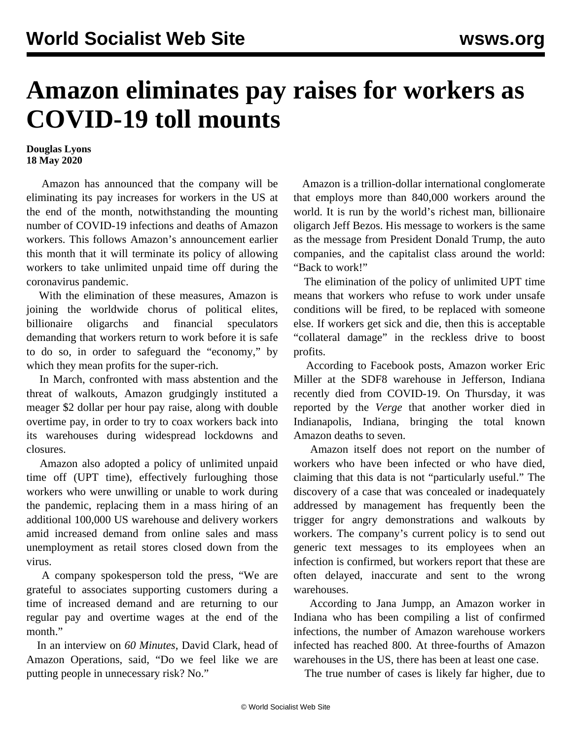## **Amazon eliminates pay raises for workers as COVID-19 toll mounts**

## **Douglas Lyons 18 May 2020**

 Amazon has announced that the company will be eliminating its pay increases for workers in the US at the end of the month, notwithstanding the mounting number of COVID-19 infections and deaths of Amazon workers. This follows Amazon's announcement earlier this month that it will terminate its policy of allowing workers to take unlimited unpaid time off during the coronavirus pandemic.

 With the elimination of these measures, Amazon is joining the worldwide chorus of political elites, billionaire oligarchs and financial speculators demanding that workers return to work before it is safe to do so, in order to safeguard the "economy," by which they mean profits for the super-rich.

 In March, confronted with mass abstention and the threat of walkouts, Amazon grudgingly instituted a meager \$2 dollar per hour pay raise, along with double overtime pay, in order to try to coax workers back into its warehouses during widespread lockdowns and closures.

 Amazon also adopted a policy of unlimited unpaid time off (UPT time), effectively furloughing those workers who were unwilling or unable to work during the pandemic, replacing them in a mass hiring of an additional 100,000 US warehouse and delivery workers amid increased demand from online sales and mass unemployment as retail stores closed down from the virus.

 A company spokesperson told the press, "We are grateful to associates supporting customers during a time of increased demand and are returning to our regular pay and overtime wages at the end of the month."

 In an interview on *60 Minutes*, David Clark, head of Amazon Operations, said, "Do we feel like we are putting people in unnecessary risk? No."

 Amazon is a trillion-dollar international conglomerate that employs more than 840,000 workers around the world. It is run by the world's richest man, billionaire oligarch Jeff Bezos. His message to workers is the same as the message from President Donald Trump, the auto companies, and the capitalist class around the world: "Back to work!"

 The elimination of the policy of unlimited UPT time means that workers who refuse to work under unsafe conditions will be fired, to be replaced with someone else. If workers get sick and die, then this is acceptable "collateral damage" in the reckless drive to boost profits.

 According to Facebook posts, Amazon worker Eric Miller at the SDF8 warehouse in Jefferson, Indiana recently died from COVID-19. On Thursday, it was reported by the *Verge* that another worker died in Indianapolis, Indiana, bringing the total known Amazon deaths to seven.

 Amazon itself does not report on the number of workers who have been infected or who have died, claiming that this data is not "particularly useful." The discovery of a case that was concealed or inadequately addressed by management has frequently been the trigger for angry demonstrations and walkouts by workers. The company's current policy is to send out generic text messages to its employees when an infection is confirmed, but workers report that these are often delayed, inaccurate and sent to the wrong warehouses.

 According to Jana Jumpp, an Amazon worker in Indiana who has been compiling a list of confirmed infections, the number of Amazon warehouse workers infected has reached 800. At three-fourths of Amazon warehouses in the US, there has been at least one case.

The true number of cases is likely far higher, due to